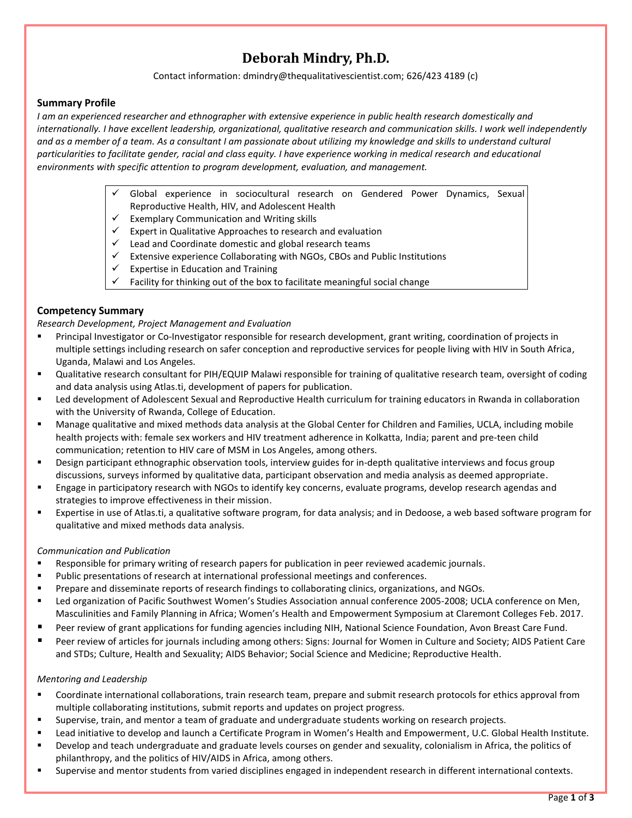# **Deborah Mindry, Ph.D.**

Contact information[: dmindry@thequalitativescientist.com;](mailto:dmindry@ucla.edu) 626/423 4189 (c)

## **Summary Profile**

*I am an experienced researcher and ethnographer with extensive experience in public health research domestically and internationally. I have excellent leadership, organizational, qualitative research and communication skills. I work well independently*  and as a member of a team. As a consultant I am passionate about utilizing my knowledge and skills to understand cultural *particularities to facilitate gender, racial and class equity. I have experience working in medical research and educational environments with specific attention to program development, evaluation, and management.*

- Global experience in sociocultural research on Gendered Power Dynamics, Sexual Reproductive Health, HIV, and Adolescent Health
- $\checkmark$  Exemplary Communication and Writing skills
- $\checkmark$  Expert in Qualitative Approaches to research and evaluation
- $\checkmark$  Lead and Coordinate domestic and global research teams
- $\checkmark$  Extensive experience Collaborating with NGOs, CBOs and Public Institutions
- $\checkmark$  Expertise in Education and Training
- $\checkmark$  Facility for thinking out of the box to facilitate meaningful social change

## **Competency Summary**

*Research Development, Project Management and Evaluation*

- Principal Investigator or Co-Investigator responsible for research development, grant writing, coordination of projects in multiple settings including research on safer conception and reproductive services for people living with HIV in South Africa, Uganda, Malawi and Los Angeles.
- Qualitative research consultant for PIH/EQUIP Malawi responsible for training of qualitative research team, oversight of coding and data analysis using Atlas.ti, development of papers for publication.
- Led development of Adolescent Sexual and Reproductive Health curriculum for training educators in Rwanda in collaboration with the University of Rwanda, College of Education.
- Manage qualitative and mixed methods data analysis at the Global Center for Children and Families, UCLA, including mobile health projects with: female sex workers and HIV treatment adherence in Kolkatta, India; parent and pre-teen child communication; retention to HIV care of MSM in Los Angeles, among others.
- Design participant ethnographic observation tools, interview guides for in-depth qualitative interviews and focus group discussions, surveys informed by qualitative data, participant observation and media analysis as deemed appropriate.
- Engage in participatory research with NGOs to identify key concerns, evaluate programs, develop research agendas and strategies to improve effectiveness in their mission.
- Expertise in use of Atlas.ti, a qualitative software program, for data analysis; and in Dedoose, a web based software program for qualitative and mixed methods data analysis.

#### *Communication and Publication*

- Responsible for primary writing of research papers for publication in peer reviewed academic journals.
- Public presentations of research at international professional meetings and conferences.
- **Prepare and disseminate reports of research findings to collaborating clinics, organizations, and NGOs.**
- Led organization of Pacific Southwest Women's Studies Association annual conference 2005-2008; UCLA conference on Men, Masculinities and Family Planning in Africa; Women's Health and Empowerment Symposium at Claremont Colleges Feb. 2017.
- Peer review of grant applications for funding agencies including NIH, National Science Foundation, Avon Breast Care Fund.
- Peer review of articles for journals including among others: Signs: Journal for Women in Culture and Society; AIDS Patient Care and STDs; Culture, Health and Sexuality; AIDS Behavior; Social Science and Medicine; Reproductive Health.

#### *Mentoring and Leadership*

- Coordinate international collaborations, train research team, prepare and submit research protocols for ethics approval from multiple collaborating institutions, submit reports and updates on project progress.
- Supervise, train, and mentor a team of graduate and undergraduate students working on research projects.
- Lead initiative to develop and launch a Certificate Program in Women's Health and Empowerment, U.C. Global Health Institute.
- Develop and teach undergraduate and graduate levels courses on gender and sexuality, colonialism in Africa, the politics of philanthropy, and the politics of HIV/AIDS in Africa, among others.
- Supervise and mentor students from varied disciplines engaged in independent research in different international contexts.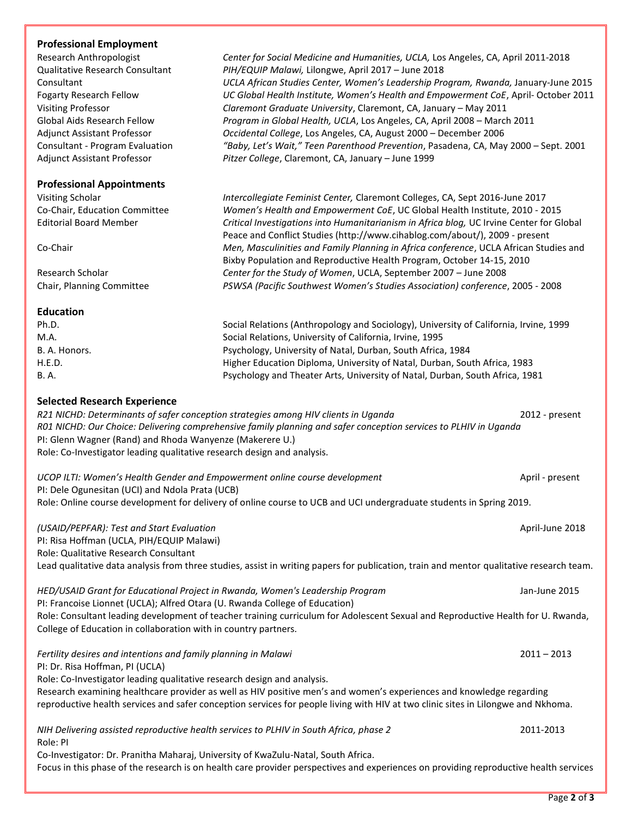#### **Professional Employment**

| Research Anthropologist                | Cer  |
|----------------------------------------|------|
| <b>Qualitative Research Consultant</b> | PІH  |
| Consultant                             | UCI  |
| <b>Fogarty Research Fellow</b>         | UС   |
| <b>Visiting Professor</b>              | Cla  |
| Global Aids Research Fellow            | Pro  |
| <b>Adjunct Assistant Professor</b>     | Occ  |
| <b>Consultant - Program Evaluation</b> | "Bc  |
| <b>Adjunct Assistant Professor</b>     | Pitz |
| <b>Professional Appointments</b>       |      |
| Visiting Scholar                       | Inte |
| Co-Chair, Education Committee          | Wa   |
|                                        |      |

Research Anthropologist Anthropologist *Center for Social Medicine and April* 2011-2018 Qualitative Research Consultant *PIH/EQUIP Malawi,* Lilongwe, April 2017 – June 2018 Consultant *UCLA African Studies Center, Women's Leadership Program, Rwanda,* January-June 2015 Global Health Institute, Women's Health and Empowerment CoE, April- October 2011 remont Graduate University, Claremont, CA, January – May 2011 gram in Global Health, UCLA, Los Angeles, CA, April 2008 – March 2011 idental College, Los Angeles, CA, August 2000 – December 2006 by, Let's Wait," Teen Parenthood Prevention, Pasadena, CA, May 2000 – Sept. 2001 er College, Claremont, CA, January – June 1999

Visiting Scholar *Intercollegiate Feminist Center,* Claremont Colleges, CA, Sept 2016-June 2017 men's Health and Empowerment CoE, UC Global Health Institute, 2010 - 2015 Editorial Board Member *Critical Investigations into Humanitarianism in Africa blog,* UC Irvine Center for Global Peace and Conflict Studies [\(http://www.cihablog.com/about/\)](http://www.cihablog.com/about/), 2009 - present Co-Chair *Men, Masculinities and Family Planning in Africa conference*, UCLA African Studies and Bixby Population and Reproductive Health Program, October 14-15, 2010 Research Scholar *Center for the Study of Women*, UCLA, September 2007 – June 2008 Chair, Planning Committee *PSWSA (Pacific Southwest Women's Studies Association) conference*, 2005 - 2008

**Education** Ph.D. Social Relations (Anthropology and Sociology), University of California, Irvine, 1999

M.A. Social Relations, University of California, Irvine, 1995 B. A. Honors. Psychology, University of Natal, Durban, South Africa, 1984 H.E.D. Higher Education Diploma, University of Natal, Durban, South Africa, 1983 B. A. Psychology and Theater Arts, University of Natal, Durban, South Africa, 1981

#### **Selected Research Experience**

*R21 NICHD: Determinants of safer conception strategies among HIV clients in Uganda* 2012 - present *R01 NICHD: Our Choice: Delivering comprehensive family planning and safer conception services to PLHIV in Uganda* PI: Glenn Wagner (Rand) and Rhoda Wanyenze (Makerere U.) Role: Co-Investigator leading qualitative research design and analysis.

*UCOP ILTI: Women's Health Gender and Empowerment online course development* April - present PI: Dele Ogunesitan (UCI) and Ndola Prata (UCB) Role: Online course development for delivery of online course to UCB and UCI undergraduate students in Spring 2019.

*(USAID/PEPFAR): Test and Start Evaluation* April-June 2018 PI: Risa Hoffman (UCLA, PIH/EQUIP Malawi) Role: Qualitative Research Consultant Lead qualitative data analysis from three studies, assist in writing papers for publication, train and mentor qualitative research team.

*HED/USAID Grant for Educational Project in Rwanda, Women's Leadership Program* Jan-June 2015 PI: Francoise Lionnet (UCLA); Alfred Otara (U. Rwanda College of Education) Role: Consultant leading development of teacher training curriculum for Adolescent Sexual and Reproductive Health for U. Rwanda, College of Education in collaboration with in country partners.

*Fertility desires and intentions and family planning in Malawi* 2011 – 2013

PI: Dr. Risa Hoffman, PI (UCLA)

Role: Co-Investigator leading qualitative research design and analysis.

Research examining healthcare provider as well as HIV positive men's and women's experiences and knowledge regarding reproductive health services and safer conception services for people living with HIV at two clinic sites in Lilongwe and Nkhoma.

*NIH Delivering assisted reproductive health services to PLHIV in South Africa, phase 2* 2011-2013 Role: PI

Co-Investigator: Dr. Pranitha Maharaj, University of KwaZulu-Natal, South Africa.

Focus in this phase of the research is on health care provider perspectives and experiences on providing reproductive health services